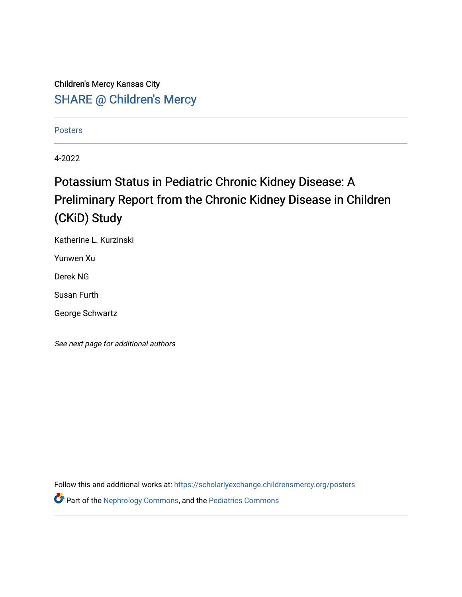Children's Mercy Kansas City SHARE @ Children's Mercy

[Posters](https://scholarlyexchange.childrensmercy.org/posters) 

4-2022

## Potassium Status in Pediatric Chronic Kidney Disease: A Preliminary Report from the Chronic Kidney Disease in Children (CKiD) Study

Katherine L. Kurzinski

Yunwen Xu

Derek NG

Susan Furth

George Schwartz

See next page for additional authors

Follow this and additional works at: [https://scholarlyexchange.childrensmercy.org/posters](https://scholarlyexchange.childrensmercy.org/posters?utm_source=scholarlyexchange.childrensmercy.org%2Fposters%2F269&utm_medium=PDF&utm_campaign=PDFCoverPages) 

Part of the [Nephrology Commons,](http://network.bepress.com/hgg/discipline/691?utm_source=scholarlyexchange.childrensmercy.org%2Fposters%2F269&utm_medium=PDF&utm_campaign=PDFCoverPages) and the [Pediatrics Commons](http://network.bepress.com/hgg/discipline/700?utm_source=scholarlyexchange.childrensmercy.org%2Fposters%2F269&utm_medium=PDF&utm_campaign=PDFCoverPages)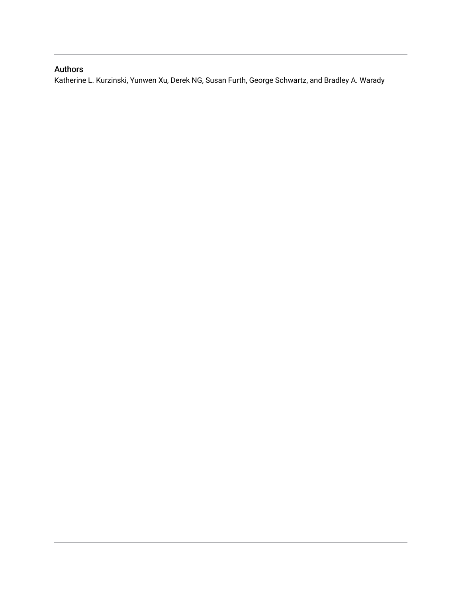### Authors

Katherine L. Kurzinski, Yunwen Xu, Derek NG, Susan Furth, George Schwartz, and Bradley A. Warady